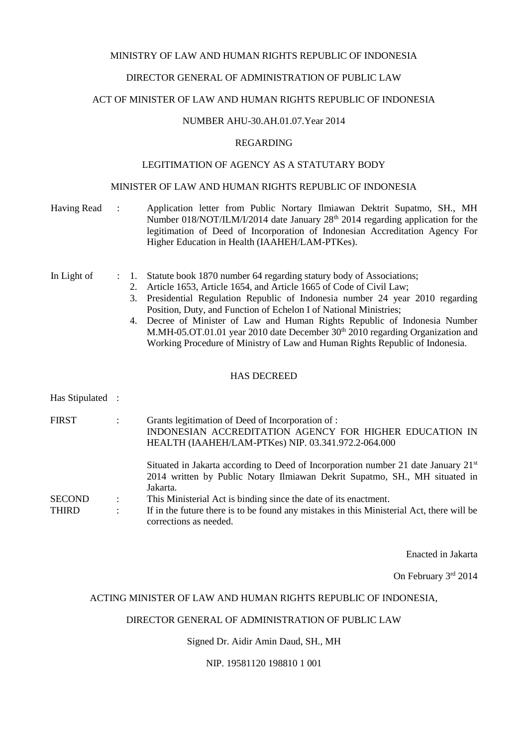### MINISTRY OF LAW AND HUMAN RIGHTS REPUBLIC OF INDONESIA

### DIRECTOR GENERAL OF ADMINISTRATION OF PUBLIC LAW

#### ACT OF MINISTER OF LAW AND HUMAN RIGHTS REPUBLIC OF INDONESIA

# NUMBER AHU-30.AH.01.07.Year 2014

#### REGARDING

### LEGITIMATION OF AGENCY AS A STATUTARY BODY

### MINISTER OF LAW AND HUMAN RIGHTS REPUBLIC OF INDONESIA

| Having Read                   | ÷ |                | Application letter from Public Nortary Ilmiawan Dektrit Supatmo, SH., MH<br>Number 018/NOT/ILM/I/2014 date January 28 <sup>th</sup> 2014 regarding application for the<br>legitimation of Deed of Incorporation of Indonesian Accreditation Agency For<br>Higher Education in Health (IAAHEH/LAM-PTKes).                                                                                                                                                                                                                                                 |
|-------------------------------|---|----------------|----------------------------------------------------------------------------------------------------------------------------------------------------------------------------------------------------------------------------------------------------------------------------------------------------------------------------------------------------------------------------------------------------------------------------------------------------------------------------------------------------------------------------------------------------------|
| In Light of                   |   | 1.<br>2.<br>3. | Statute book 1870 number 64 regarding statury body of Associations;<br>Article 1653, Article 1654, and Article 1665 of Code of Civil Law;<br>Presidential Regulation Republic of Indonesia number 24 year 2010 regarding<br>Position, Duty, and Function of Echelon I of National Ministries;<br>4. Decree of Minister of Law and Human Rights Republic of Indonesia Number<br>M.MH-05.OT.01.01 year 2010 date December 30 <sup>th</sup> 2010 regarding Organization and<br>Working Procedure of Ministry of Law and Human Rights Republic of Indonesia. |
|                               |   |                | <b>HAS DECREED</b>                                                                                                                                                                                                                                                                                                                                                                                                                                                                                                                                       |
| Has Stipulated                |   |                |                                                                                                                                                                                                                                                                                                                                                                                                                                                                                                                                                          |
| <b>FIRST</b>                  |   |                | Grants legitimation of Deed of Incorporation of :<br>INDONESIAN ACCREDITATION AGENCY FOR HIGHER EDUCATION IN<br>HEALTH (IAAHEH/LAM-PTKes) NIP. 03.341.972.2-064.000                                                                                                                                                                                                                                                                                                                                                                                      |
| <b>SECOND</b><br><b>THIRD</b> |   |                | Situated in Jakarta according to Deed of Incorporation number 21 date January 21 <sup>st</sup><br>2014 written by Public Notary Ilmiawan Dekrit Supatmo, SH., MH situated in<br>Jakarta.<br>This Ministerial Act is binding since the date of its enactment.<br>If in the future there is to be found any mistakes in this Ministerial Act, there will be<br>corrections as needed.                                                                                                                                                                      |

Enacted in Jakarta

On February 3rd 2014

#### ACTING MINISTER OF LAW AND HUMAN RIGHTS REPUBLIC OF INDONESIA,

#### DIRECTOR GENERAL OF ADMINISTRATION OF PUBLIC LAW

Signed Dr. Aidir Amin Daud, SH., MH

NIP. 19581120 198810 1 001